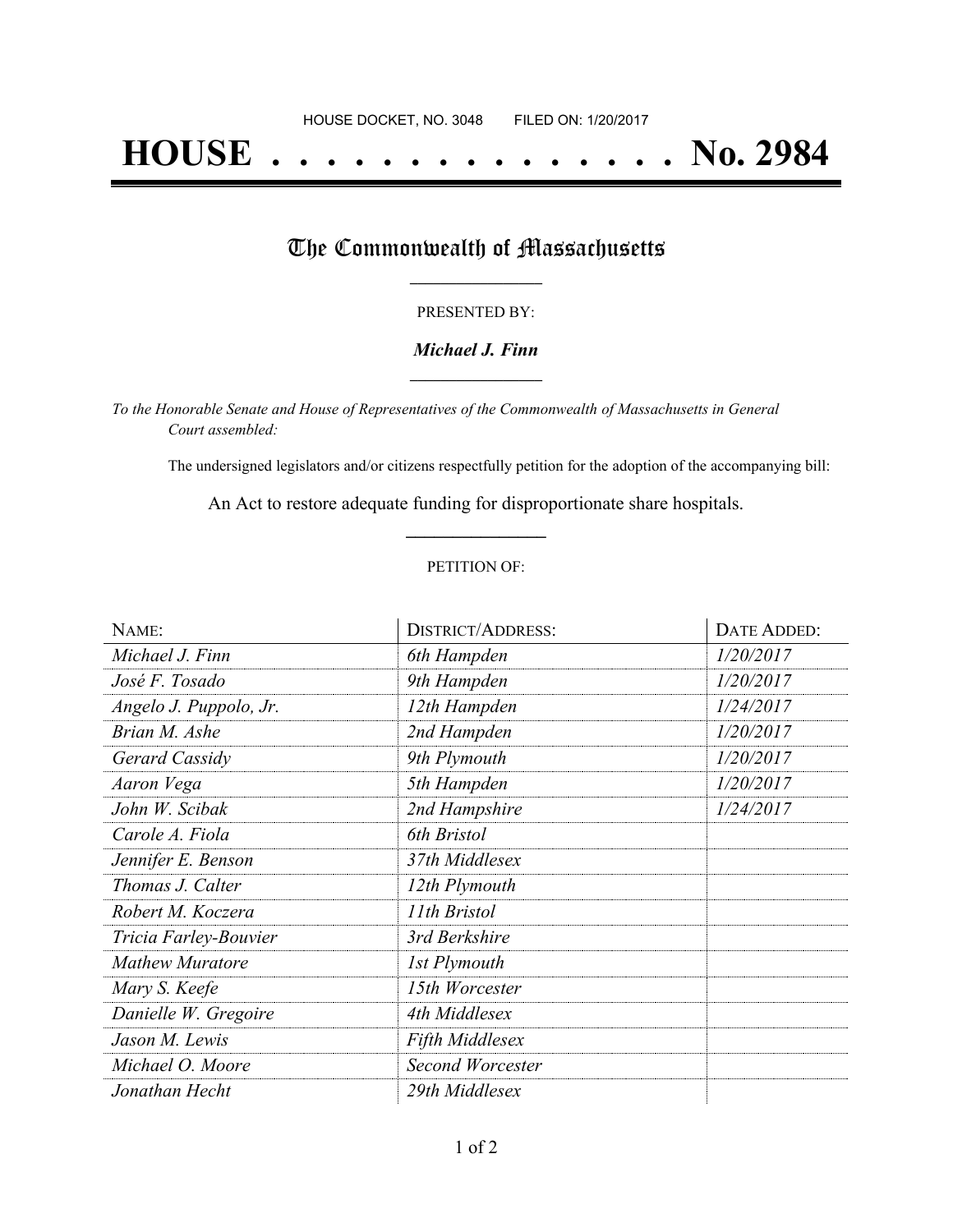# **HOUSE . . . . . . . . . . . . . . . No. 2984**

## The Commonwealth of Massachusetts

#### PRESENTED BY:

#### *Michael J. Finn* **\_\_\_\_\_\_\_\_\_\_\_\_\_\_\_\_\_**

*To the Honorable Senate and House of Representatives of the Commonwealth of Massachusetts in General Court assembled:*

The undersigned legislators and/or citizens respectfully petition for the adoption of the accompanying bill:

An Act to restore adequate funding for disproportionate share hospitals. **\_\_\_\_\_\_\_\_\_\_\_\_\_\_\_**

#### PETITION OF:

| NAME:                  | <b>DISTRICT/ADDRESS:</b> | DATE ADDED: |
|------------------------|--------------------------|-------------|
| Michael J. Finn        | 6th Hampden              | 1/20/2017   |
| José F. Tosado         | 9th Hampden              | 1/20/2017   |
| Angelo J. Puppolo, Jr. | 12th Hampden             | 1/24/2017   |
| Brian M. Ashe          | 2nd Hampden              | 1/20/2017   |
| Gerard Cassidy         | 9th Plymouth             | 1/20/2017   |
| Aaron Vega             | 5th Hampden              | 1/20/2017   |
| John W. Scibak         | 2nd Hampshire            | 1/24/2017   |
| Carole A. Fiola        | 6th Bristol              |             |
| Jennifer E. Benson     | 37th Middlesex           |             |
| Thomas J. Calter       | 12th Plymouth            |             |
| Robert M. Koczera      | 11th Bristol             |             |
| Tricia Farley-Bouvier  | 3rd Berkshire            |             |
| <b>Mathew Muratore</b> | 1st Plymouth             |             |
| Mary S. Keefe          | 15th Worcester           |             |
| Danielle W. Gregoire   | 4th Middlesex            |             |
| Jason M. Lewis         | Fifth Middlesex          |             |
| Michael O. Moore       | <b>Second Worcester</b>  |             |
| Jonathan Hecht         | 29th Middlesex           |             |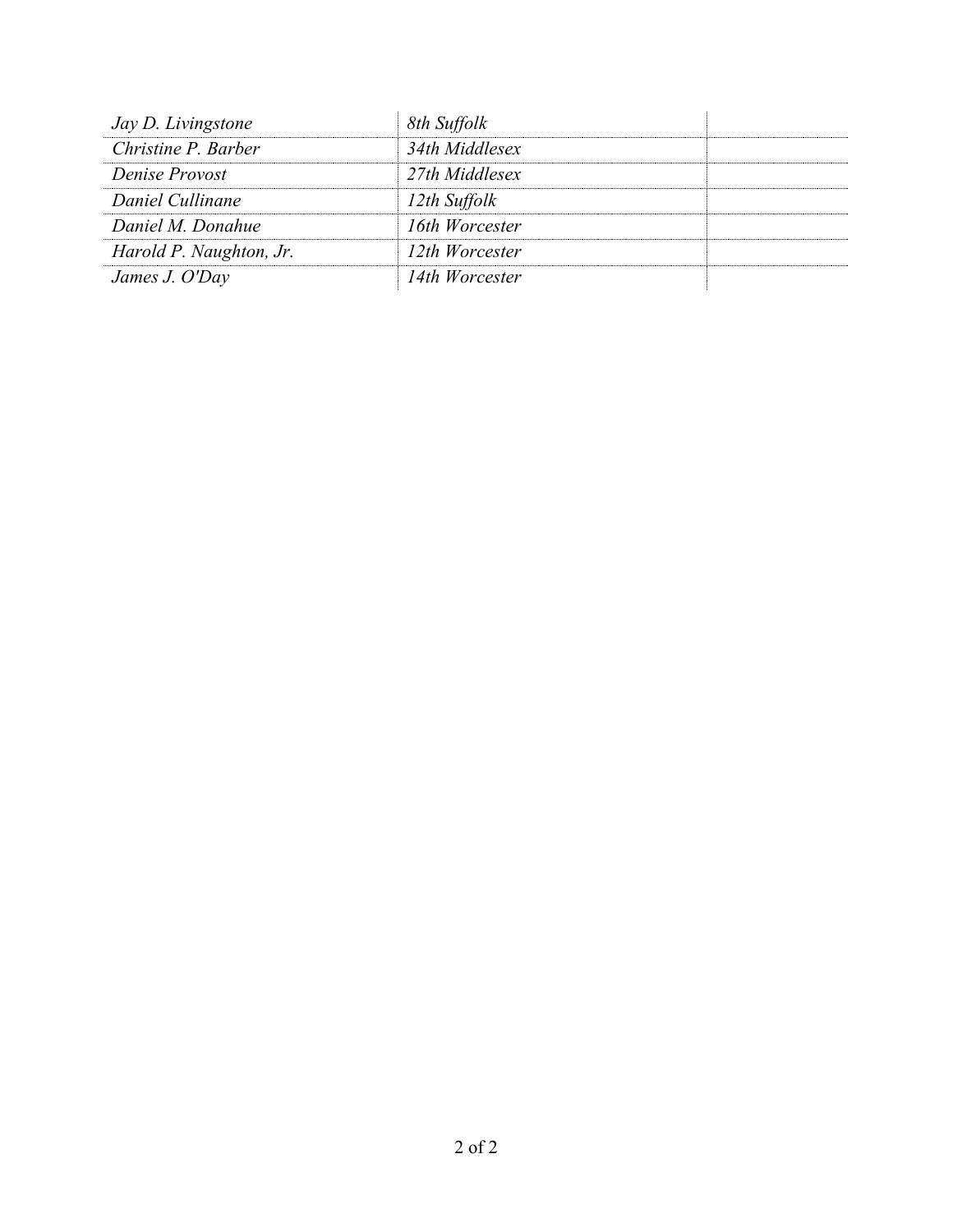| Jay D. Livingstone      | 8th Suffolk    |  |
|-------------------------|----------------|--|
| Christine P. Barber     | 34th Middlesex |  |
| Denise Provost          | 27th Middlesex |  |
| Daniel Cullinane        | 12th Suffolk   |  |
| Daniel M. Donahue       | 16th Worcester |  |
| Harold P. Naughton, Jr. | 12th Worcester |  |
| James J. O'Day          | 14th Worcester |  |
|                         |                |  |